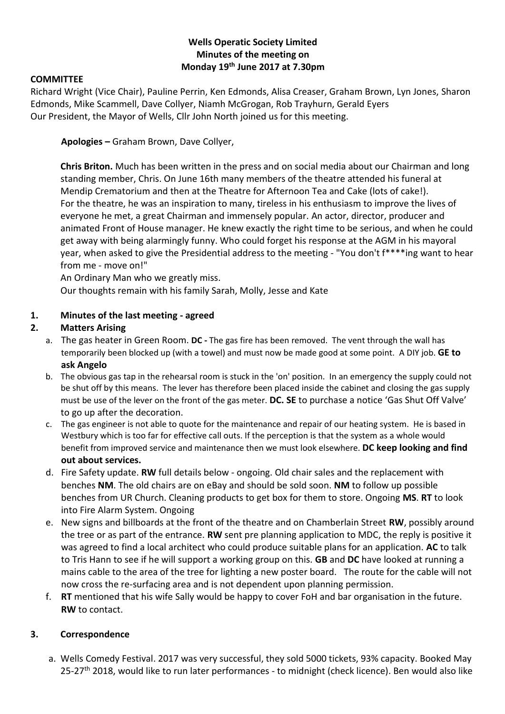#### **Wells Operatic Society Limited Minutes of the meeting on Monday 19th June 2017 at 7.30pm**

#### **COMMITTEE**

Richard Wright (Vice Chair), Pauline Perrin, Ken Edmonds, Alisa Creaser, Graham Brown, Lyn Jones, Sharon Edmonds, Mike Scammell, Dave Collyer, Niamh McGrogan, Rob Trayhurn, Gerald Eyers Our President, the Mayor of Wells, Cllr John North joined us for this meeting.

**Apologies –** Graham Brown, Dave Collyer,

**Chris Briton.** Much has been written in the press and on social media about our Chairman and long standing member, Chris. On June 16th many members of the theatre attended his funeral at Mendip Crematorium and then at the Theatre for Afternoon Tea and Cake (lots of cake!). For the theatre, he was an inspiration to many, tireless in his enthusiasm to improve the lives of everyone he met, a great Chairman and immensely popular. An actor, director, producer and animated Front of House manager. He knew exactly the right time to be serious, and when he could get away with being alarmingly funny. Who could forget his response at the AGM in his mayoral year, when asked to give the Presidential address to the meeting - "You don't f\*\*\*\*ing want to hear from me - move on!"

An Ordinary Man who we greatly miss.

Our thoughts remain with his family Sarah, Molly, Jesse and Kate

#### **1. Minutes of the last meeting - agreed**

#### **2. Matters Arising**

- a. The gas heater in Green Room. **DC -** The gas fire has been removed. The vent through the wall has temporarily been blocked up (with a towel) and must now be made good at some point. A DIY job. **GE to ask Angelo**
- b. The obvious gas tap in the rehearsal room is stuck in the 'on' position. In an emergency the supply could not be shut off by this means. The lever has therefore been placed inside the cabinet and closing the gas supply must be use of the lever on the front of the gas meter. **DC. SE** to purchase a notice 'Gas Shut Off Valve' to go up after the decoration.
- c. The gas engineer is not able to quote for the maintenance and repair of our heating system. He is based in Westbury which is too far for effective call outs. If the perception is that the system as a whole would benefit from improved service and maintenance then we must look elsewhere. **DC keep looking and find out about services.**
- d. Fire Safety update. **RW** full details below ongoing. Old chair sales and the replacement with benches **NM**. The old chairs are on eBay and should be sold soon. **NM** to follow up possible benches from UR Church. Cleaning products to get box for them to store. Ongoing **MS**. **RT** to look into Fire Alarm System. Ongoing
- e. New signs and billboards at the front of the theatre and on Chamberlain Street **RW**, possibly around the tree or as part of the entrance. **RW** sent pre planning application to MDC, the reply is positive it was agreed to find a local architect who could produce suitable plans for an application. **AC** to talk to Tris Hann to see if he will support a working group on this. **GB** and **DC** have looked at running a mains cable to the area of the tree for lighting a new poster board. The route for the cable will not now cross the re-surfacing area and is not dependent upon planning permission.
- f. **RT** mentioned that his wife Sally would be happy to cover FoH and bar organisation in the future. **RW** to contact.

#### **3. Correspondence**

a. Wells Comedy Festival. 2017 was very successful, they sold 5000 tickets, 93% capacity. Booked May 25-27<sup>th</sup> 2018, would like to run later performances - to midnight (check licence). Ben would also like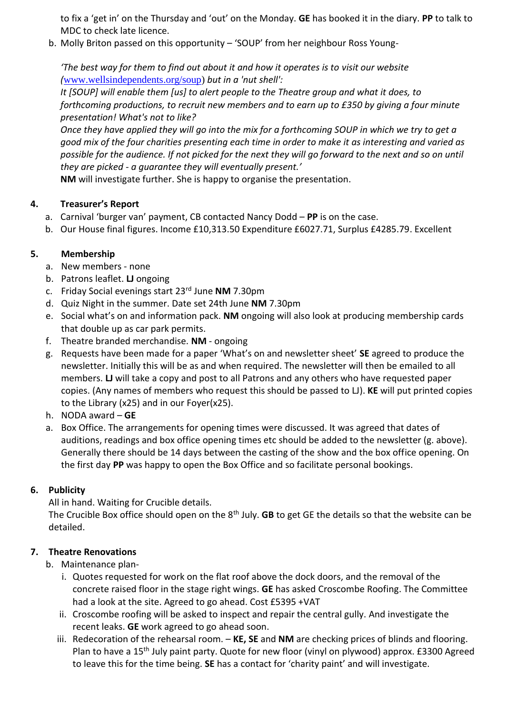to fix a 'get in' on the Thursday and 'out' on the Monday. **GE** has booked it in the diary. **PP** to talk to MDC to check late licence.

b. Molly Briton passed on this opportunity – 'SOUP' from her neighbour Ross Young-

*'The best way for them to find out about it and how it operates is to visit our website (*[www.wellsindependents.org/soup\)](http://www.wellsindependents.org/soup) *but in a 'nut shell':*

*It [SOUP] will enable them [us] to alert people to the Theatre group and what it does, to forthcoming productions, to recruit new members and to earn up to £350 by giving a four minute presentation! What's not to like?*

*Once they have applied they will go into the mix for a forthcoming SOUP in which we try to get a good mix of the four charities presenting each time in order to make it as interesting and varied as possible for the audience. If not picked for the next they will go forward to the next and so on until they are picked - a guarantee they will eventually present.'*

**NM** will investigate further. She is happy to organise the presentation.

## **4. Treasurer's Report**

- a. Carnival 'burger van' payment, CB contacted Nancy Dodd **PP** is on the case.
- b. Our House final figures. Income £10,313.50 Expenditure £6027.71, Surplus £4285.79. Excellent

# **5. Membership**

- a. New members none
- b. Patrons leaflet. **LJ** ongoing
- c. Friday Social evenings start 23rd June **NM** 7.30pm
- d. Quiz Night in the summer. Date set 24th June **NM** 7.30pm
- e. Social what's on and information pack. **NM** ongoing will also look at producing membership cards that double up as car park permits.
- f. Theatre branded merchandise. **NM** ongoing
- g. Requests have been made for a paper 'What's on and newsletter sheet' **SE** agreed to produce the newsletter. Initially this will be as and when required. The newsletter will then be emailed to all members. **LJ** will take a copy and post to all Patrons and any others who have requested paper copies. (Any names of members who request this should be passed to LJ). **KE** will put printed copies to the Library (x25) and in our Foyer(x25).
- h. NODA award **GE**
- a. Box Office. The arrangements for opening times were discussed. It was agreed that dates of auditions, readings and box office opening times etc should be added to the newsletter (g. above). Generally there should be 14 days between the casting of the show and the box office opening. On the first day **PP** was happy to open the Box Office and so facilitate personal bookings.

# **6. Publicity**

All in hand. Waiting for Crucible details.

The Crucible Box office should open on the 8<sup>th</sup> July. **GB** to get GE the details so that the website can be detailed.

# **7. Theatre Renovations**

## b. Maintenance plan-

- i. Quotes requested for work on the flat roof above the dock doors, and the removal of the concrete raised floor in the stage right wings. **GE** has asked Croscombe Roofing. The Committee had a look at the site. Agreed to go ahead. Cost £5395 +VAT
- ii. Croscombe roofing will be asked to inspect and repair the central gully. And investigate the recent leaks. **GE** work agreed to go ahead soon.
- iii. Redecoration of the rehearsal room. **KE, SE** and **NM** are checking prices of blinds and flooring. Plan to have a 15th July paint party. Quote for new floor (vinyl on plywood) approx. £3300 Agreed to leave this for the time being. **SE** has a contact for 'charity paint' and will investigate.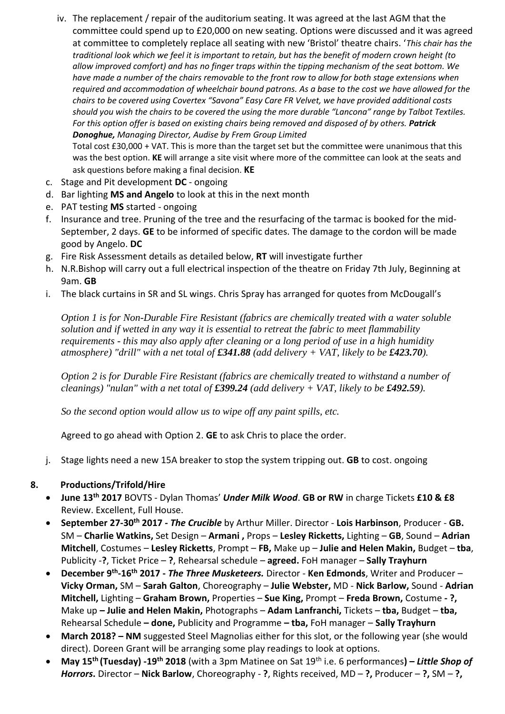iv. The replacement / repair of the auditorium seating. It was agreed at the last AGM that the committee could spend up to £20,000 on new seating. Options were discussed and it was agreed at committee to completely replace all seating with new 'Bristol' theatre chairs. '*This chair has the traditional look which we feel it is important to retain, but has the benefit of modern crown height (to allow improved comfort) and has no finger traps within the tipping mechanism of the seat bottom. We have made a number of the chairs removable to the front row to allow for both stage extensions when required and accommodation of wheelchair bound patrons. As a base to the cost we have allowed for the chairs to be covered using Covertex "Savona" Easy Care FR Velvet, we have provided additional costs should you wish the chairs to be covered the using the more durable "Lancona" range by Talbot Textiles. For this option offer is based on existing chairs being removed and disposed of by others. Patrick Donoghue, Managing Director, Audise by Frem Group Limited*

Total cost £30,000 + VAT. This is more than the target set but the committee were unanimous that this was the best option. **KE** will arrange a site visit where more of the committee can look at the seats and ask questions before making a final decision. **KE**

- c. Stage and Pit development **DC** ongoing
- d. Bar lighting **MS and Angelo** to look at this in the next month
- e. PAT testing **MS** started ongoing
- f. Insurance and tree. Pruning of the tree and the resurfacing of the tarmac is booked for the mid-September, 2 days. **GE** to be informed of specific dates. The damage to the cordon will be made good by Angelo. **DC**
- g. Fire Risk Assessment details as detailed below, **RT** will investigate further
- h. N.R.Bishop will carry out a full electrical inspection of the theatre on Friday 7th July, Beginning at 9am. **GB**
- i. The black curtains in SR and SL wings. Chris Spray has arranged for quotes from McDougall's

*Option 1 is for Non-Durable Fire Resistant (fabrics are chemically treated with a water soluble solution and if wetted in any way it is essential to retreat the fabric to meet flammability requirements - this may also apply after cleaning or a long period of use in a high humidity atmosphere) "drill" with a net total of £341.88 (add delivery + VAT, likely to be £423.70).*

*Option 2 is for Durable Fire Resistant (fabrics are chemically treated to withstand a number of cleanings) "nulan" with a net total of*  $\pounds 399.24$  *(add delivery + VAT, likely to be*  $\pounds 492.59$ *).* 

*So the second option would allow us to wipe off any paint spills, etc.*

Agreed to go ahead with Option 2. **GE** to ask Chris to place the order.

j. Stage lights need a new 15A breaker to stop the system tripping out. **GB** to cost. ongoing

## **8. Productions/Trifold/Hire**

- **June 13th 2017** BOVTS Dylan Thomas' *Under Milk Wood*. **GB or RW** in charge Tickets **£10 & £8** Review. Excellent, Full House.
- **September 27-30th 2017 -** *The Crucible* by Arthur Miller. Director **Lois Harbinson**, Producer **GB.**  SM – **Charlie Watkins,** Set Design – **Armani ,** Props – **Lesley Ricketts,** Lighting – **GB**, Sound – **Adrian Mitchell**, Costumes – **Lesley Ricketts**, Prompt – **FB,** Make up – **Julie and Helen Makin,** Budget – **tba**, Publicity -**?**, Ticket Price – **?**, Rehearsal schedule – **agreed.** FoH manager – **Sally Trayhurn**
- **December 9th -16th 2017 -** *The Three Musketeers.* Director **Ken Edmonds**, Writer and Producer **Vicky Orman,** SM – **Sarah Galton**, Choreography – **Julie Webster,** MD - **Nick Barlow,** Sound - **Adrian Mitchell,** Lighting – **Graham Brown,** Properties – **Sue King,** Prompt – **Freda Brown,** Costume **- ?,**  Make up **– Julie and Helen Makin,** Photographs – **Adam Lanfranchi,** Tickets – **tba,** Budget – **tba,**  Rehearsal Schedule **– done,** Publicity and Programme **– tba,** FoH manager – **Sally Trayhurn**
- **March 2018? – NM** suggested Steel Magnolias either for this slot, or the following year (she would direct). Doreen Grant will be arranging some play readings to look at options.
- **May 15th (Tuesday) -19th 2018** (with a 3pm Matinee on Sat 19th i.e. 6 performances**) –** *Little Shop of Horrors***.** Director – **Nick Barlow**, Choreography - **?**, Rights received, MD – **?,** Producer – **?,** SM – **?,**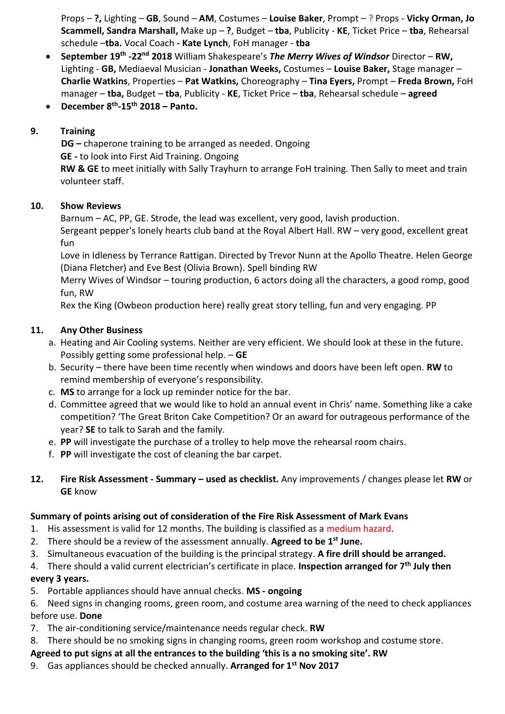Props – **?,** Lighting – **GB**, Sound – **AM**, Costumes – **Louise Baker**, Prompt – ? Props - **Vicky Orman, Jo Scammell, Sandra Marshall,** Make up – **?**, Budget – **tba**, Publicity - **KE**, Ticket Price – **tba**, Rehearsal schedule –**tba.** Vocal Coach **- Kate Lynch**, FoH manager - **tba**

- **September 19th -22nd 2018** William Shakespeare's *The Merry Wives of Windsor* Director **RW,**  Lighting - **GB,** Mediaeval Musician - **Jonathan Weeks,** Costumes – **Louise Baker,** Stage manager – **Charlie Watkins**, Properties – **Pat Watkins,** Choreography – **Tina Eyers,** Prompt – **Freda Brown,** FoH manager – **tba,** Budget – **tba**, Publicity - **KE**, Ticket Price – **tba**, Rehearsal schedule – **agreed**
- **December 8th -15th 2018 – Panto.**

## **9. Training**

**DG –** chaperone training to be arranged as needed. Ongoing **GE -** to look into First Aid Training. Ongoing **RW & GE** to meet initially with Sally Trayhurn to arrange FoH training. Then Sally to meet and train volunteer staff.

## **10. Show Reviews**

Barnum – AC, PP, GE. Strode, the lead was excellent, very good, lavish production. Sergeant pepper's lonely hearts club band at the Royal Albert Hall. RW – very good, excellent great fun

Love in Idleness by Terrance Rattigan. Directed by Trevor Nunn at the Apollo Theatre. Helen George (Diana Fletcher) and Eve Best (Olivia Brown). Spell binding RW

Merry Wives of Windsor – touring production, 6 actors doing all the characters, a good romp, good fun, RW

Rex the King (Owbeon production here) really great story telling, fun and very engaging. PP

## **11. Any Other Business**

- a. Heating and Air Cooling systems. Neither are very efficient. We should look at these in the future. Possibly getting some professional help. – **GE**
- b. Security there have been time recently when windows and doors have been left open. **RW** to remind membership of everyone's responsibility.
- c. **MS** to arrange for a lock up reminder notice for the bar.
- d. Committee agreed that we would like to hold an annual event in Chris' name. Something like a cake competition? 'The Great Briton Cake Competition? Or an award for outrageous performance of the year? **SE** to talk to Sarah and the family.
- e. **PP** will investigate the purchase of a trolley to help move the rehearsal room chairs.
- f. **PP** will investigate the cost of cleaning the bar carpet.
- **12. Fire Risk Assessment - Summary – used as checklist.** Any improvements / changes please let **RW** or **GE** know

## **Summary of points arising out of consideration of the Fire Risk Assessment of Mark Evans**

- 1. His assessment is valid for 12 months. The building is classified as a medium hazard.
- 2. There should be a review of the assessment annually. **Agreed to be 1st June.**
- 3. Simultaneous evacuation of the building is the principal strategy. **A fire drill should be arranged.**
- 4. There should a valid current electrician's certificate in place. **Inspection arranged for 7th July then**

# **every 3 years.**

5. Portable appliances should have annual checks. **MS - ongoing**

6. Need signs in changing rooms, green room, and costume area warning of the need to check appliances before use. **Done**

- 7. The air-conditioning service/maintenance needs regular check. **RW**
- 8. There should be no smoking signs in changing rooms, green room workshop and costume store.

## **Agreed to put signs at all the entrances to the building 'this is a no smoking site'. RW**

9. Gas appliances should be checked annually. **Arranged for 1st Nov 2017**